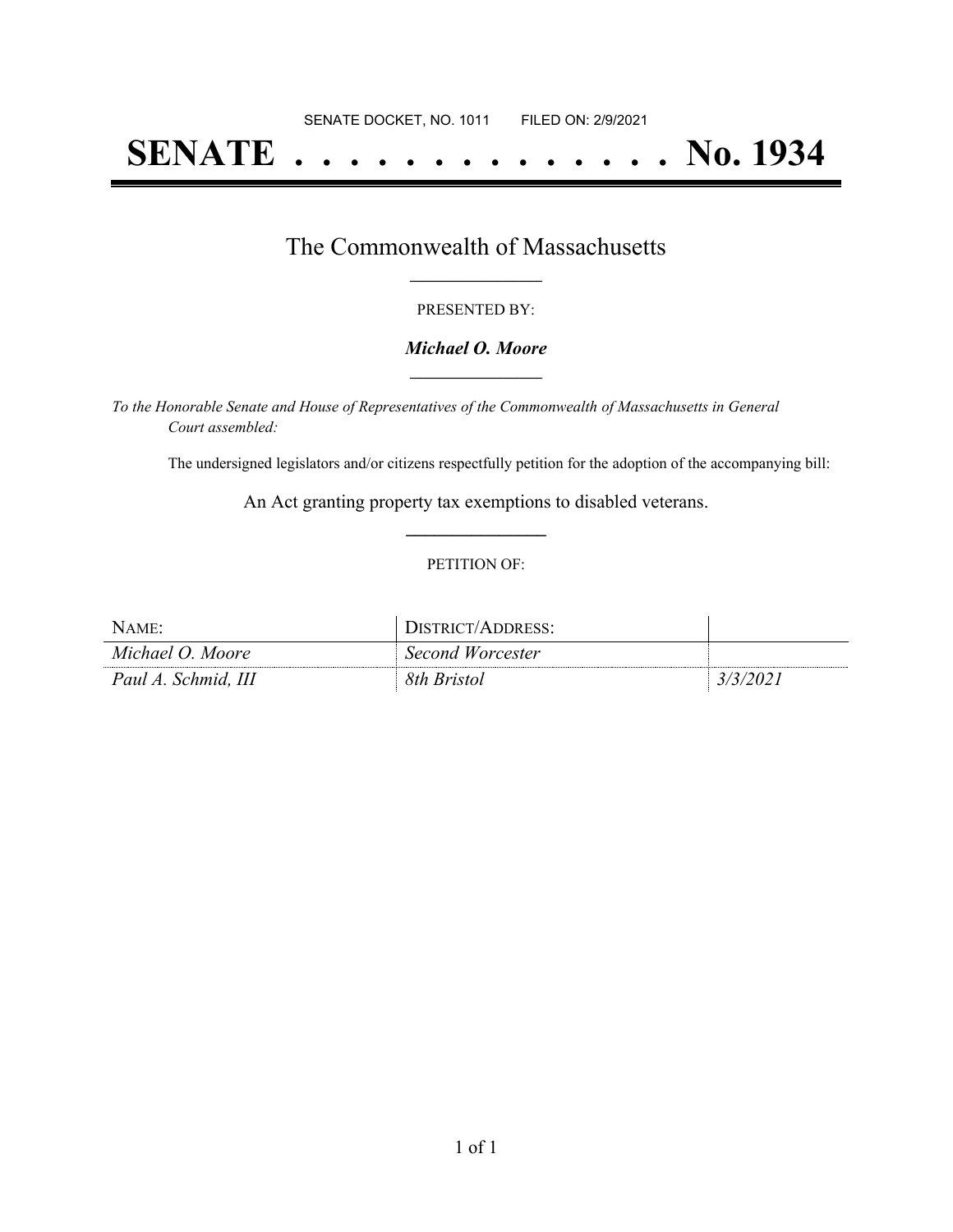# **SENATE . . . . . . . . . . . . . . No. 1934**

### The Commonwealth of Massachusetts **\_\_\_\_\_\_\_\_\_\_\_\_\_\_\_\_\_**

#### PRESENTED BY:

#### *Michael O. Moore* **\_\_\_\_\_\_\_\_\_\_\_\_\_\_\_\_\_**

*To the Honorable Senate and House of Representatives of the Commonwealth of Massachusetts in General Court assembled:*

The undersigned legislators and/or citizens respectfully petition for the adoption of the accompanying bill:

An Act granting property tax exemptions to disabled veterans. **\_\_\_\_\_\_\_\_\_\_\_\_\_\_\_**

#### PETITION OF:

| NAME:               | DISTRICT/ADDRESS: |          |
|---------------------|-------------------|----------|
| Michael O. Moore    | Second Worcester  |          |
| Paul A. Schmid, III | 8th Bristol       | 3/3/202. |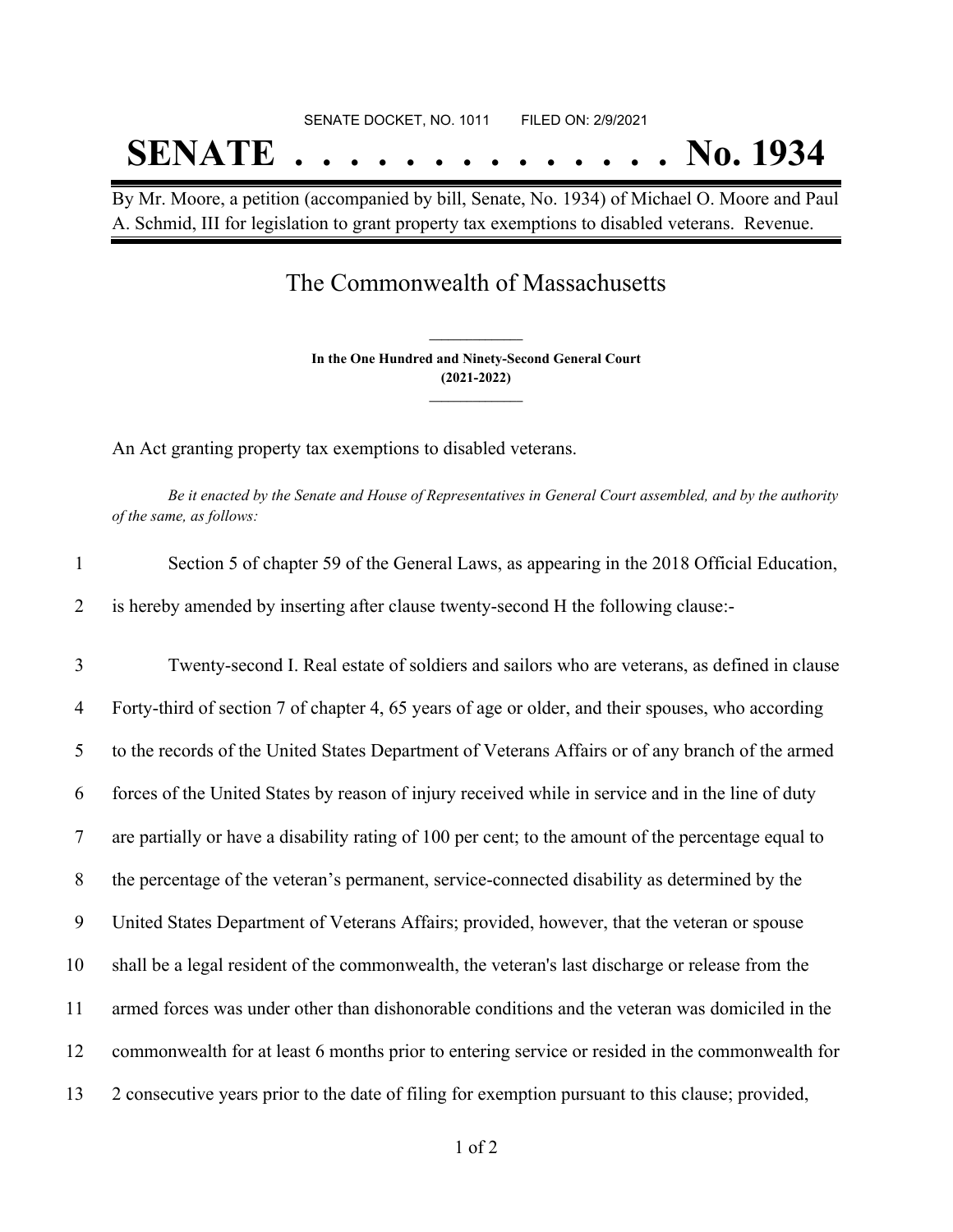# SENATE DOCKET, NO. 1011 FILED ON: 2/9/2021 **SENATE . . . . . . . . . . . . . . No. 1934**

By Mr. Moore, a petition (accompanied by bill, Senate, No. 1934) of Michael O. Moore and Paul A. Schmid, III for legislation to grant property tax exemptions to disabled veterans. Revenue.

## The Commonwealth of Massachusetts

**In the One Hundred and Ninety-Second General Court (2021-2022) \_\_\_\_\_\_\_\_\_\_\_\_\_\_\_**

**\_\_\_\_\_\_\_\_\_\_\_\_\_\_\_**

An Act granting property tax exemptions to disabled veterans.

Be it enacted by the Senate and House of Representatives in General Court assembled, and by the authority *of the same, as follows:*

| $\mathbf{1}$   | Section 5 of chapter 59 of the General Laws, as appearing in the 2018 Official Education,           |
|----------------|-----------------------------------------------------------------------------------------------------|
| 2              | is hereby amended by inserting after clause twenty-second H the following clause:-                  |
| 3              | Twenty-second I. Real estate of soldiers and sailors who are veterans, as defined in clause         |
| $\overline{4}$ | Forty-third of section 7 of chapter 4, 65 years of age or older, and their spouses, who according   |
| 5              | to the records of the United States Department of Veterans Affairs or of any branch of the armed    |
| 6              | forces of the United States by reason of injury received while in service and in the line of duty   |
| $\overline{7}$ | are partially or have a disability rating of 100 per cent; to the amount of the percentage equal to |
| 8              | the percentage of the veteran's permanent, service-connected disability as determined by the        |
| 9              | United States Department of Veterans Affairs; provided, however, that the veteran or spouse         |
| 10             | shall be a legal resident of the commonwealth, the veteran's last discharge or release from the     |
| 11             | armed forces was under other than dishonorable conditions and the veteran was domiciled in the      |
| 12             | commonwealth for at least 6 months prior to entering service or resided in the commonwealth for     |
| 13             | 2 consecutive years prior to the date of filing for exemption pursuant to this clause; provided,    |
|                |                                                                                                     |